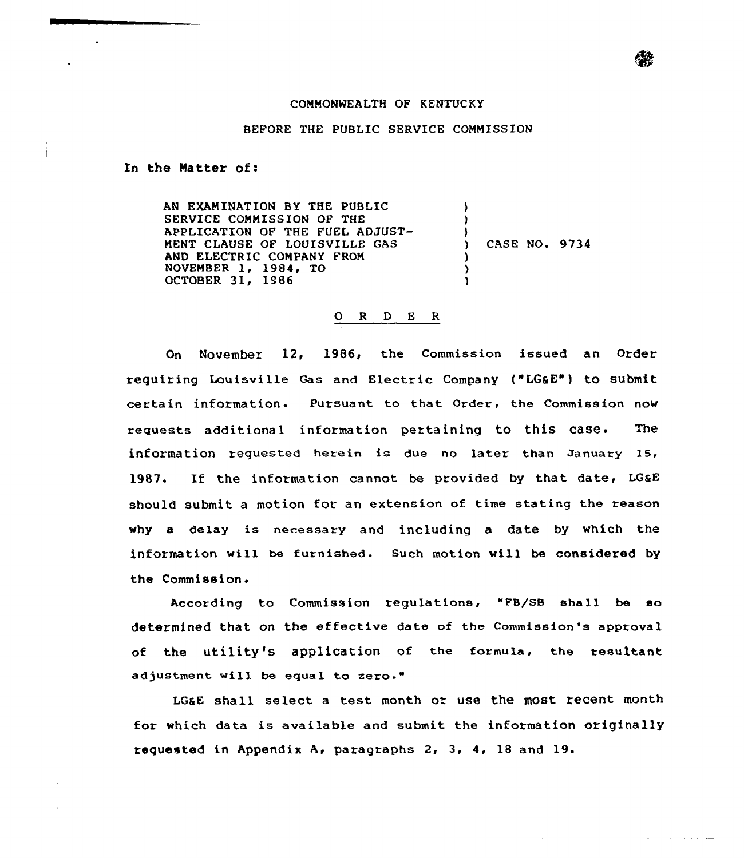## COMMONWEALTH OF KENTUCKY

## BEFORE THE PUBLIC SERVICE COMMISSION

In the Natter of:

 $\ddot{\phantom{a}}$ 

AN EXAMINATION BY THE PUBLIC  $\lambda$ SERVICE COMMISSION OF THE ) APPLICATION OF THE FUEL ADJUST-) MENT CLAUSE OF LOUISVILLE GAS ) CASE NO. 9734 AND ELECTRIC COMPANY FROM ) NOVEMBER 1, 1984, TO ) OCTOBER 31, 1986 )

## 0 <sup>R</sup> <sup>D</sup> E <sup>R</sup>

On November 12, 1986, the Commission issued an Order requiring Louisville Gas and Electric Company ("LG&E") to submit certain information. Pursuant to that Order, the Commission now requests additional information pertaining to this case. The information requested herein is due no later than January 15, 1987. If the information cannot be provided by that date, LG&E should submit a motion for an extension of time stating the reason why a delay is necessary and including a date by which the information will be furnished. Such motion will be considered by the Commission.

According to Commission regulations, "FB/SB sha11 be so determined that on the effective date of the Commission's approval of the utility's application of the formula, the resultant adjustment will be equal to zero."

LGaE shall select <sup>a</sup> test month or use the most recent month for which data is available and submit the information originally requested in Appendix A< paragraphs 2, 3, 4, 18 and 19.

and a state of